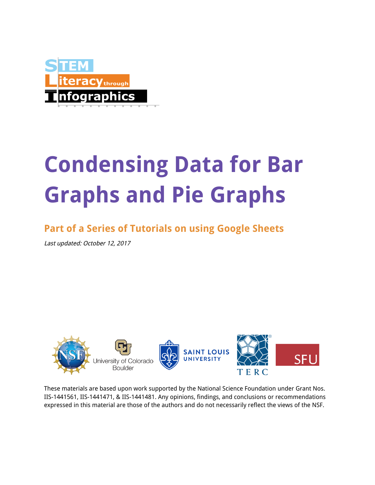

# **Condensing Data for Bar Graphs and Pie Graphs**

# **Part of a Series of Tutorials on using Google Sheets**

Last updated: October 12, 2017



These materials are based upon work supported by the National Science Foundation under Grant Nos. IIS-1441561, IIS-1441471, & IIS-1441481. Any opinions, findings, and conclusions or recommendations expressed in this material are those of the authors and do not necessarily reflect the views of the NSF.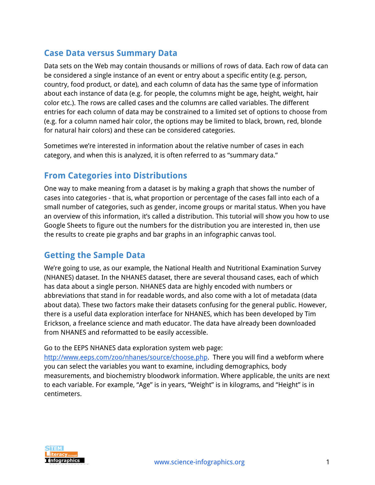#### **Case Data versus Summary Data**

Data sets on the Web may contain thousands or millions of rows of data. Each row of data can be considered a single instance of an event or entry about a specific entity (e.g. person, country, food product, or date), and each column of data has the same type of information about each instance of data (e.g. for people, the columns might be age, height, weight, hair color etc.). The rows are called cases and the columns are called variables. The different entries for each column of data may be constrained to a limited set of options to choose from (e.g. for a column named hair color, the options may be limited to black, brown, red, blonde for natural hair colors) and these can be considered categories.

Sometimes we're interested in information about the relative number of cases in each category, and when this is analyzed, it is often referred to as "summary data."

#### **From Categories into Distributions**

One way to make meaning from a dataset is by making a graph that shows the number of cases into categories - that is, what proportion or percentage of the cases fall into each of a small number of categories, such as gender, income groups or marital status. When you have an overview of this information, it's called a distribution. This tutorial will show you how to use Google Sheets to figure out the numbers for the distribution you are interested in, then use the results to create pie graphs and bar graphs in an infographic canvas tool.

#### **Getting the Sample Data**

We're going to use, as our example, the National Health and Nutritional Examination Survey (NHANES) dataset. In the NHANES dataset, there are several thousand cases, each of which has data about a single person. NHANES data are highly encoded with numbers or abbreviations that stand in for readable words, and also come with a lot of metadata (data about data). These two factors make their datasets confusing for the general public. However, there is a useful data exploration interface for NHANES, which has been developed by Tim Erickson, a freelance science and math educator. The data have already been downloaded from NHANES and reformatted to be easily accessible.

Go to the EEPS NHANES data exploration system web page:

<http://www.eeps.com/zoo/nhanes/source/choose.php>. There you will find a webform where you can select the variables you want to examine, including demographics, body measurements, and biochemistry bloodwork information. Where applicable, the units are next to each variable. For example, "Age" is in years, "Weight" is in kilograms, and "Height" is in centimeters.

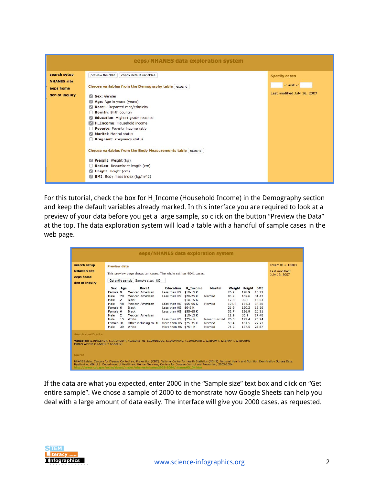

For this tutorial, check the box for H\_Income (Household Income) in the Demography section and keep the default variables already marked. In this interface you are required to look at a preview of your data before you get a large sample, so click on the button "Preview the Data" at the top. The data exploration system will load a table with a handful of sample cases in the web page.

| search setup                                                     | <b>Preview data</b> |                                                                  |                                                                                                                       |                        |                 |               |       |                   |               | Insert ID = $10803$ |
|------------------------------------------------------------------|---------------------|------------------------------------------------------------------|-----------------------------------------------------------------------------------------------------------------------|------------------------|-----------------|---------------|-------|-------------------|---------------|---------------------|
| <b>NHANES</b> site                                               |                     |                                                                  |                                                                                                                       |                        |                 |               |       | Last modified:    |               |                     |
|                                                                  |                     | This preview page shows ten cases. The whole set has 9041 cases. |                                                                                                                       |                        |                 |               |       |                   | July 16, 2007 |                     |
| eeps home                                                        |                     |                                                                  | Get entire sample Sample size: 100                                                                                    |                        |                 |               |       |                   |               |                     |
| den of inquiry                                                   |                     |                                                                  |                                                                                                                       |                        |                 |               |       |                   |               |                     |
|                                                                  | Sex Age             |                                                                  | Race1                                                                                                                 | Education              | <b>H</b> Income | Marital       |       | Weight Height BMI |               |                     |
|                                                                  | Female 9            |                                                                  | Mexican American                                                                                                      | Less than HS           | $$10-15K$       |               | 26.2  | 128.9             | 15.77         |                     |
|                                                                  | Male                | 70                                                               | Mexican American                                                                                                      | Less than HS \$20-25 K |                 | Married       | 83.2  | 162.6             | 31.47         |                     |
|                                                                  | Male                | $\overline{2}$                                                   | <b>Black</b>                                                                                                          |                        | $$10-15K$       |               | 12.8  | 90.8              | 15.53         |                     |
|                                                                  | Male                | 48                                                               | Mexican American                                                                                                      | Less than HS \$55-65 K |                 | Married       | 104.4 | 174.3             | 34.36         |                     |
|                                                                  | Female 6            |                                                                  | Black                                                                                                                 | Less than HS \$0-5 K   |                 |               | 21.9  | 120.2             | 15.16         |                     |
|                                                                  | Female 6            |                                                                  | Black                                                                                                                 | Less than HS \$55-65 K |                 |               | 32.7  | 126.9             | 20.31         |                     |
|                                                                  | Male                | $\overline{2}$                                                   | Mexican American                                                                                                      |                        | $$10-15K$       |               | 12.9  | 85.9              | 17.48         |                     |
|                                                                  | Male                | 15                                                               | White                                                                                                                 | Less than $HS$ \$75+ K |                 | Never married | 76.5  | 172.4             | 25.74         |                     |
|                                                                  | Female 31           |                                                                  | Other including multi                                                                                                 | More than HS \$25-35 K |                 | Married       | 59.4  | 161.5             | 22.77         |                     |
|                                                                  | Male                | 39                                                               | White                                                                                                                 | More than HS \$75+ K   |                 | Married       | 75.2  | 177.5             | 23.87         |                     |
| <b>Search specification</b><br>Filter: WHERE (t1.SEQN = t2.SEQN) |                     |                                                                  | Variables: t1.RIAGENDR, t1.RIDAGEYR, t1.RIDRETH1, t1.DMDEDUC, t1.INDHHINC, t1.DMDMARTL, t2.BMXWT, t2.BMXHT, t2.BMXBMI |                        |                 |               |       |                   |               |                     |
|                                                                  |                     |                                                                  |                                                                                                                       |                        |                 |               |       |                   |               |                     |

If the data are what you expected, enter 2000 in the "Sample size" text box and click on "Get entire sample". We chose a sample of 2000 to demonstrate how Google Sheets can help you deal with a large amount of data easily. The interface will give you 2000 cases, as requested.

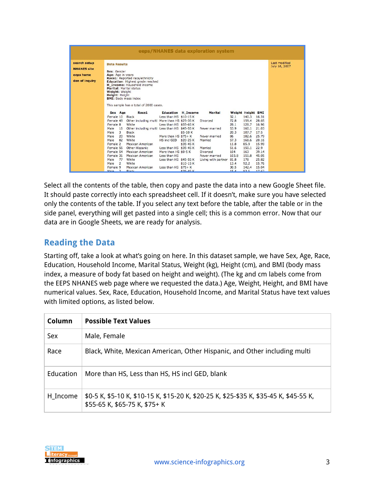|                                                                   |                                                                                                                                                                                                                                                                                                                                                                                                           |                                                                                                                                                                     |                                                    | eeps/NHANES data exploration system                                                                             |                                                                                                         |                                                                                              |                                                                                               |                                |
|-------------------------------------------------------------------|-----------------------------------------------------------------------------------------------------------------------------------------------------------------------------------------------------------------------------------------------------------------------------------------------------------------------------------------------------------------------------------------------------------|---------------------------------------------------------------------------------------------------------------------------------------------------------------------|----------------------------------------------------|-----------------------------------------------------------------------------------------------------------------|---------------------------------------------------------------------------------------------------------|----------------------------------------------------------------------------------------------|-----------------------------------------------------------------------------------------------|--------------------------------|
| search setup<br><b>NHANES</b> site<br>eeps home<br>den of inquiry | <b>Data Results</b><br>Sex: Gender<br>Age: Age in years<br>Race1: Reported race/ethnicity<br><b>Education: Highest grade reached</b><br>H Income: Household income<br><b>Marital: Marital status</b><br>Weight: Weight<br><b>Height: Height</b><br><b>BMI: Body mass index</b><br>This sample has a total of 2000 cases.                                                                                  |                                                                                                                                                                     |                                                    |                                                                                                                 |                                                                                                         |                                                                                              |                                                                                               | Last modified<br>July 16, 2007 |
|                                                                   | Race1<br>Sex Age<br>Female 10<br><b>Black</b><br>Female 48<br>Other including multi More than HS \$25-35 K<br>White<br>Female 8<br>Other including multi Less than HS \$45-55 K<br>Male<br>16<br>Male<br>3<br><b>Black</b><br>Male<br>20<br>White<br>Male<br>82<br>White<br>Female 2<br>Mexican American<br>Female 56<br>Other Hispanic<br>Female 54<br>Mexican American<br>Female 31<br>Mexican American | Less than HS \$10-15 K<br>Less than HS \$55-65 K<br>More than HS \$75+ K<br>HS incl GED \$20-25 K<br>Less than HS \$35-45 K<br>More than HS \$0-5 K<br>Less than HS | <b>Education H_Income</b><br>\$5-10 K<br>\$35-45 K | Marital<br><b>Divorced</b><br>Never married<br>Never married<br>Married<br>Married<br>Divorced<br>Never married | Weight Height BMI<br>32.1<br>72.8<br>28.1<br>53.9<br>20.3<br>86<br>57.3<br>11.8<br>51.6<br>104<br>103.8 | 140.3<br>159.4<br>128.7<br>160.1<br>107.7<br>182.6<br>168.6<br>85.9<br>150.1<br>163<br>151.8 | 16.31<br>28.65<br>16.96<br>21.03<br>17.5<br>25.79<br>20.16<br>15.99<br>22.9<br>39.14<br>45.05 |                                |
|                                                                   | 77<br>Male<br>White<br>Male<br>$\overline{2}$<br>White<br>Mexican American<br>Female 9<br>$\overline{z}$<br>Male<br>Black                                                                                                                                                                                                                                                                                 | Less than HS \$45-55 K<br>Less than $HS$ \$75+ K                                                                                                                    | $$10-15K$<br><b>¢35.45 K</b>                       | Living with partner                                                                                             | 81.8<br>13.4<br>30.5<br>15A                                                                             | 178<br>92.2<br>142.4<br>935 1762                                                             | 25.82<br>15.76<br>15.04                                                                       |                                |

Select all the contents of the table, then copy and paste the data into a new Google Sheet file. It should paste correctly into each spreadsheet cell. If it doesn't, make sure you have selected only the contents of the table. If you select any text before the table, after the table or in the side panel, everything will get pasted into a single cell; this is a common error. Now that our data are in Google Sheets, we are ready for analysis.

#### **Reading the Data**

Starting off, take a look at what's going on here. In this dataset sample, we have Sex, Age, Race, Education, Household Income, Marital Status, Weight (kg), Height (cm), and BMI (body mass index, a measure of body fat based on height and weight). (The kg and cm labels come from the EEPS NHANES web page where we requested the data.) Age, Weight, Height, and BMI have numerical values. Sex, Race, Education, Household Income, and Marital Status have text values with limited options, as listed below.

| Column    | <b>Possible Text Values</b>                                                                                             |  |  |  |  |  |
|-----------|-------------------------------------------------------------------------------------------------------------------------|--|--|--|--|--|
| Sex       | Male, Female                                                                                                            |  |  |  |  |  |
| Race      | Black, White, Mexican American, Other Hispanic, and Other including multi                                               |  |  |  |  |  |
| Education | More than HS, Less than HS, HS incl GED, blank                                                                          |  |  |  |  |  |
| H_Income  | \$0-5 K, \$5-10 K, \$10-15 K, \$15-20 K, \$20-25 K, \$25-\$35 K, \$35-45 K, \$45-55 K,<br>\$55-65 K, \$65-75 K, \$75+ K |  |  |  |  |  |

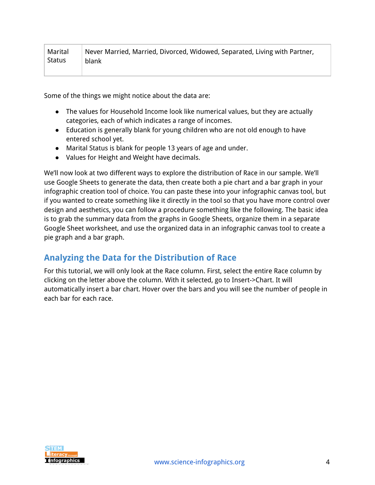| Marital | Never Married, Married, Divorced, Widowed, Separated, Living with Partner, |
|---------|----------------------------------------------------------------------------|
| Status  | ∣ blank                                                                    |

Some of the things we might notice about the data are:

- The values for Household Income look like numerical values, but they are actually categories, each of which indicates a range of incomes.
- Education is generally blank for young children who are not old enough to have entered school yet.
- Marital Status is blank for people 13 years of age and under.
- Values for Height and Weight have decimals.

We'll now look at two different ways to explore the distribution of Race in our sample. We'll use Google Sheets to generate the data, then create both a pie chart and a bar graph in your infographic creation tool of choice. You can paste these into your infographic canvas tool, but if you wanted to create something like it directly in the tool so that you have more control over design and aesthetics, you can follow a procedure something like the following. The basic idea is to grab the summary data from the graphs in Google Sheets, organize them in a separate Google Sheet worksheet, and use the organized data in an infographic canvas tool to create a pie graph and a bar graph.

#### **Analyzing the Data for the Distribution of Race**

For this tutorial, we will only look at the Race column. First, select the entire Race column by clicking on the letter above the column. With it selected, go to Insert->Chart. It will automatically insert a bar chart. Hover over the bars and you will see the number of people in each bar for each race.

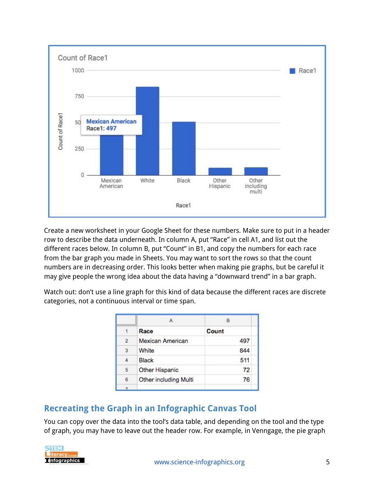

Create a new worksheet in your Google Sheet for these numbers. Make sure to put in a header row to describe the data underneath. In column A, put "Race" in cell A1, and list out the different races below. In column B, put "Count" in B1, and copy the numbers for each race from the bar graph you made in Sheets. You may want to sort the rows so that the count numbers are in decreasing order. This looks better when making pie graphs, but be careful it may give people the wrong idea about the data having a "downward trend" in a bar graph.

Watch out: don't use a line graph for this kind of data because the different races are discrete categories, not a continuous interval or time span.

|                | А                            | B     |  |  |
|----------------|------------------------------|-------|--|--|
| $\cdot$ 1      | Race                         | Count |  |  |
| $\overline{2}$ | Mexican American             | 497   |  |  |
| 3              | White                        | 844   |  |  |
| 4              | <b>Black</b>                 | 511   |  |  |
| 5              | <b>Other Hispanic</b>        | 72    |  |  |
| 6              | <b>Other including Multi</b> | 76    |  |  |
|                |                              |       |  |  |

## **Recreating the Graph in an Infographic Canvas Tool**

You can copy over the data into the tool's data table, and depending on the tool and the type of graph, you may have to leave out the header row. For example, in Venngage, the pie graph